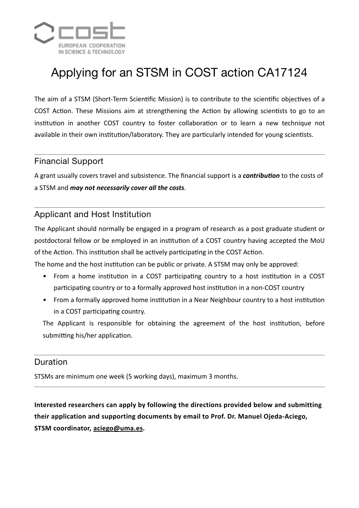

# Applying for an STSM in COST action CA17124

The aim of a STSM (Short-Term Scientific Mission) is to contribute to the scientific objectives of a COST Action. These Missions aim at strengthening the Action by allowing scientists to go to an institution in another COST country to foster collaboration or to learn a new technique not available in their own institution/laboratory. They are particularly intended for young scientists.

### Financial Support

A grant usually covers travel and subsistence. The financial support is a *contribution* to the costs of a STSM and *may not necessarily cover all the costs*.

## Applicant and Host Institution

The Applicant should normally be engaged in a program of research as a post graduate student or postdoctoral fellow or be employed in an institution of a COST country having accepted the MoU of the Action. This institution shall be actively participating in the COST Action.

The home and the host institution can be public or private. A STSM may only be approved:

- From a home institution in a COST participating country to a host institution in a COST participating country or to a formally approved host institution in a non-COST country
- From a formally approved home institution in a Near Neighbour country to a host institution in a COST participating country.

The Applicant is responsible for obtaining the agreement of the host institution, before submitting his/her application.

#### Duration

STSMs are minimum one week (5 working days), maximum 3 months.

Interested researchers can apply by following the directions provided below and submitting their application and supporting documents by email to Prof. Dr. Manuel Ojeda-Aciego, **STSM coordinator, [aciego@uma.es.](mailto:aciego@uma.es)**